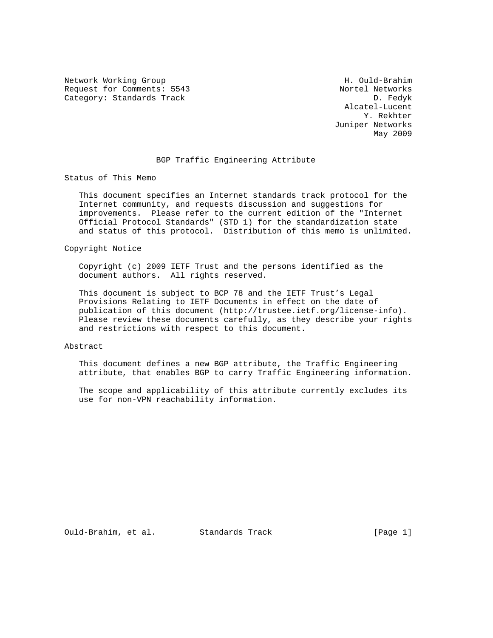Network Working Group Network Morking Group H. Ould-Brahim Request for Comments: 5543 Nortel Networks<br>Category: Standards Track Nortel Networks Category: Standards Track

 Alcatel-Lucent Y. Rekhter Juniper Networks May 2009

## BGP Traffic Engineering Attribute

Status of This Memo

 This document specifies an Internet standards track protocol for the Internet community, and requests discussion and suggestions for improvements. Please refer to the current edition of the "Internet Official Protocol Standards" (STD 1) for the standardization state and status of this protocol. Distribution of this memo is unlimited.

Copyright Notice

 Copyright (c) 2009 IETF Trust and the persons identified as the document authors. All rights reserved.

 This document is subject to BCP 78 and the IETF Trust's Legal Provisions Relating to IETF Documents in effect on the date of publication of this document (http://trustee.ietf.org/license-info). Please review these documents carefully, as they describe your rights and restrictions with respect to this document.

## Abstract

 This document defines a new BGP attribute, the Traffic Engineering attribute, that enables BGP to carry Traffic Engineering information.

 The scope and applicability of this attribute currently excludes its use for non-VPN reachability information.

Ould-Brahim, et al. Standards Track [Page 1]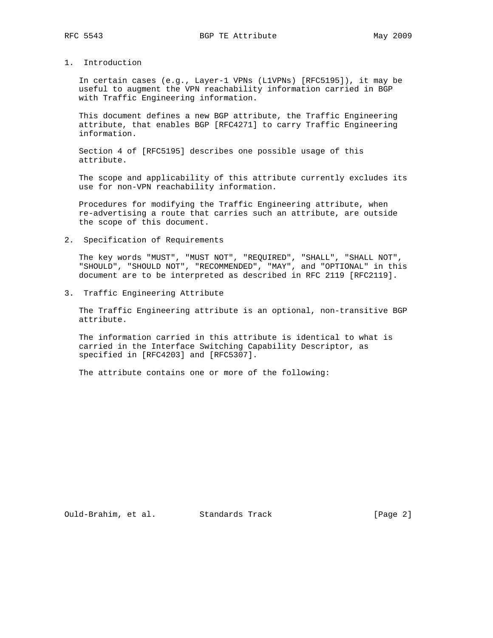## 1. Introduction

 In certain cases (e.g., Layer-1 VPNs (L1VPNs) [RFC5195]), it may be useful to augment the VPN reachability information carried in BGP with Traffic Engineering information.

 This document defines a new BGP attribute, the Traffic Engineering attribute, that enables BGP [RFC4271] to carry Traffic Engineering information.

 Section 4 of [RFC5195] describes one possible usage of this attribute.

 The scope and applicability of this attribute currently excludes its use for non-VPN reachability information.

 Procedures for modifying the Traffic Engineering attribute, when re-advertising a route that carries such an attribute, are outside the scope of this document.

2. Specification of Requirements

 The key words "MUST", "MUST NOT", "REQUIRED", "SHALL", "SHALL NOT", "SHOULD", "SHOULD NOT", "RECOMMENDED", "MAY", and "OPTIONAL" in this document are to be interpreted as described in RFC 2119 [RFC2119].

3. Traffic Engineering Attribute

 The Traffic Engineering attribute is an optional, non-transitive BGP attribute.

 The information carried in this attribute is identical to what is carried in the Interface Switching Capability Descriptor, as specified in [RFC4203] and [RFC5307].

The attribute contains one or more of the following: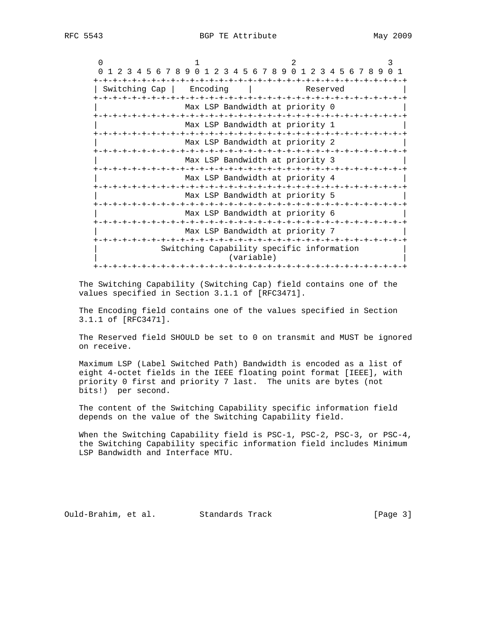| 1 2 3 4 5 6 7 8 9 0 1 2 3 4 5 6 7 8 9 0 1 2 3 4 5 6 7 8 9 0 1<br>$\Omega$ |  |  |  |  |  |  |  |           |  |                                           |  |  |                  |  |  |  |  |  |  |
|---------------------------------------------------------------------------|--|--|--|--|--|--|--|-----------|--|-------------------------------------------|--|--|------------------|--|--|--|--|--|--|
|                                                                           |  |  |  |  |  |  |  | -+-+-+-+- |  |                                           |  |  | $-+ - + - + - +$ |  |  |  |  |  |  |
| Encoding<br>Switching Cap                                                 |  |  |  |  |  |  |  |           |  | Reserved                                  |  |  |                  |  |  |  |  |  |  |
|                                                                           |  |  |  |  |  |  |  |           |  |                                           |  |  |                  |  |  |  |  |  |  |
|                                                                           |  |  |  |  |  |  |  |           |  | Max LSP Bandwidth at priority 0           |  |  |                  |  |  |  |  |  |  |
|                                                                           |  |  |  |  |  |  |  |           |  |                                           |  |  |                  |  |  |  |  |  |  |
|                                                                           |  |  |  |  |  |  |  |           |  | Max LSP Bandwidth at priority 1           |  |  |                  |  |  |  |  |  |  |
|                                                                           |  |  |  |  |  |  |  |           |  |                                           |  |  |                  |  |  |  |  |  |  |
|                                                                           |  |  |  |  |  |  |  |           |  | Max LSP Bandwidth at priority 2           |  |  |                  |  |  |  |  |  |  |
|                                                                           |  |  |  |  |  |  |  |           |  |                                           |  |  |                  |  |  |  |  |  |  |
|                                                                           |  |  |  |  |  |  |  |           |  | Max LSP Bandwidth at priority 3           |  |  |                  |  |  |  |  |  |  |
|                                                                           |  |  |  |  |  |  |  |           |  |                                           |  |  |                  |  |  |  |  |  |  |
|                                                                           |  |  |  |  |  |  |  |           |  | Max LSP Bandwidth at priority 4           |  |  |                  |  |  |  |  |  |  |
|                                                                           |  |  |  |  |  |  |  |           |  |                                           |  |  |                  |  |  |  |  |  |  |
|                                                                           |  |  |  |  |  |  |  |           |  | Max LSP Bandwidth at priority 5           |  |  |                  |  |  |  |  |  |  |
|                                                                           |  |  |  |  |  |  |  |           |  |                                           |  |  |                  |  |  |  |  |  |  |
|                                                                           |  |  |  |  |  |  |  |           |  | Max LSP Bandwidth at priority 6           |  |  |                  |  |  |  |  |  |  |
|                                                                           |  |  |  |  |  |  |  |           |  | Max LSP Bandwidth at priority 7           |  |  |                  |  |  |  |  |  |  |
|                                                                           |  |  |  |  |  |  |  |           |  |                                           |  |  |                  |  |  |  |  |  |  |
|                                                                           |  |  |  |  |  |  |  |           |  | Switching Capability specific information |  |  |                  |  |  |  |  |  |  |
|                                                                           |  |  |  |  |  |  |  |           |  | (variable)                                |  |  |                  |  |  |  |  |  |  |
|                                                                           |  |  |  |  |  |  |  |           |  |                                           |  |  |                  |  |  |  |  |  |  |
|                                                                           |  |  |  |  |  |  |  |           |  |                                           |  |  |                  |  |  |  |  |  |  |

 The Switching Capability (Switching Cap) field contains one of the values specified in Section 3.1.1 of [RFC3471].

 The Encoding field contains one of the values specified in Section 3.1.1 of [RFC3471].

 The Reserved field SHOULD be set to 0 on transmit and MUST be ignored on receive.

 Maximum LSP (Label Switched Path) Bandwidth is encoded as a list of eight 4-octet fields in the IEEE floating point format [IEEE], with priority 0 first and priority 7 last. The units are bytes (not bits!) per second.

 The content of the Switching Capability specific information field depends on the value of the Switching Capability field.

When the Switching Capability field is PSC-1, PSC-2, PSC-3, or PSC-4, the Switching Capability specific information field includes Minimum LSP Bandwidth and Interface MTU.

Ould-Brahim, et al. Standards Track [Page 3]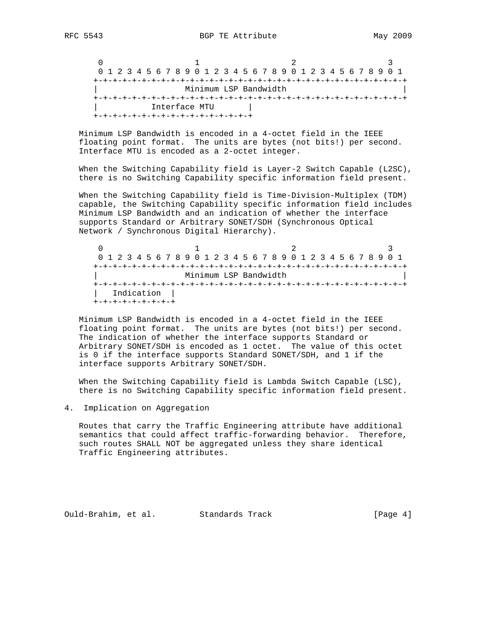$0$  1 2 3 0 1 2 3 4 5 6 7 8 9 0 1 2 3 4 5 6 7 8 9 0 1 2 3 4 5 6 7 8 9 0 1 +-+-+-+-+-+-+-+-+-+-+-+-+-+-+-+-+-+-+-+-+-+-+-+-+-+-+-+-+-+-+-+-+ | Minimum LSP Bandwidth | +-+-+-+-+-+-+-+-+-+-+-+-+-+-+-+-+-+-+-+-+-+-+-+-+-+-+-+-+-+-+-+-+ Interface MTU +-+-+-+-+-+-+-+-+-+-+-+-+-+-+-+-+

 Minimum LSP Bandwidth is encoded in a 4-octet field in the IEEE floating point format. The units are bytes (not bits!) per second. Interface MTU is encoded as a 2-octet integer.

 When the Switching Capability field is Layer-2 Switch Capable (L2SC), there is no Switching Capability specific information field present.

 When the Switching Capability field is Time-Division-Multiplex (TDM) capable, the Switching Capability specific information field includes Minimum LSP Bandwidth and an indication of whether the interface supports Standard or Arbitrary SONET/SDH (Synchronous Optical Network / Synchronous Digital Hierarchy).

 $0$  1 2 3 0 1 2 3 4 5 6 7 8 9 0 1 2 3 4 5 6 7 8 9 0 1 2 3 4 5 6 7 8 9 0 1 +-+-+-+-+-+-+-+-+-+-+-+-+-+-+-+-+-+-+-+-+-+-+-+-+-+-+-+-+-+-+-+-+ | Minimum LSP Bandwidth | +-+-+-+-+-+-+-+-+-+-+-+-+-+-+-+-+-+-+-+-+-+-+-+-+-+-+-+-+-+-+-+-+ | Indication | +-+-+-+-+-+-+-+-+

 Minimum LSP Bandwidth is encoded in a 4-octet field in the IEEE floating point format. The units are bytes (not bits!) per second. The indication of whether the interface supports Standard or Arbitrary SONET/SDH is encoded as 1 octet. The value of this octet is 0 if the interface supports Standard SONET/SDH, and 1 if the interface supports Arbitrary SONET/SDH.

 When the Switching Capability field is Lambda Switch Capable (LSC), there is no Switching Capability specific information field present.

4. Implication on Aggregation

 Routes that carry the Traffic Engineering attribute have additional semantics that could affect traffic-forwarding behavior. Therefore, such routes SHALL NOT be aggregated unless they share identical Traffic Engineering attributes.

Ould-Brahim, et al. Standards Track [Page 4]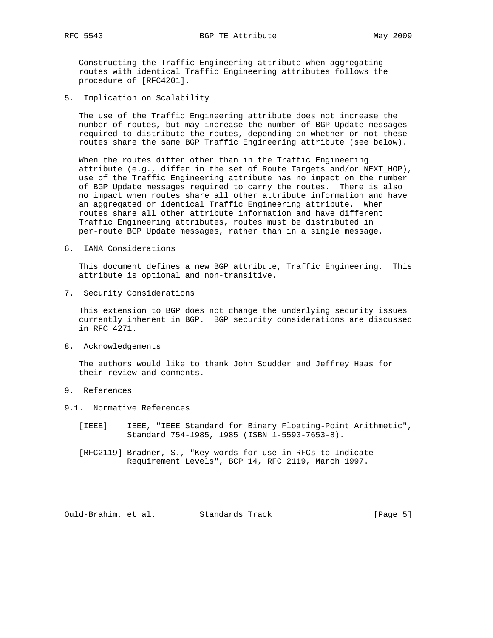Constructing the Traffic Engineering attribute when aggregating routes with identical Traffic Engineering attributes follows the procedure of [RFC4201].

5. Implication on Scalability

 The use of the Traffic Engineering attribute does not increase the number of routes, but may increase the number of BGP Update messages required to distribute the routes, depending on whether or not these routes share the same BGP Traffic Engineering attribute (see below).

 When the routes differ other than in the Traffic Engineering attribute (e.g., differ in the set of Route Targets and/or NEXT\_HOP), use of the Traffic Engineering attribute has no impact on the number of BGP Update messages required to carry the routes. There is also no impact when routes share all other attribute information and have an aggregated or identical Traffic Engineering attribute. When routes share all other attribute information and have different Traffic Engineering attributes, routes must be distributed in per-route BGP Update messages, rather than in a single message.

6. IANA Considerations

 This document defines a new BGP attribute, Traffic Engineering. This attribute is optional and non-transitive.

7. Security Considerations

 This extension to BGP does not change the underlying security issues currently inherent in BGP. BGP security considerations are discussed in RFC 4271.

8. Acknowledgements

 The authors would like to thank John Scudder and Jeffrey Haas for their review and comments.

- 9. References
- 9.1. Normative References
	- [IEEE] IEEE, "IEEE Standard for Binary Floating-Point Arithmetic", Standard 754-1985, 1985 (ISBN 1-5593-7653-8).
	- [RFC2119] Bradner, S., "Key words for use in RFCs to Indicate Requirement Levels", BCP 14, RFC 2119, March 1997.

Ould-Brahim, et al. Standards Track [Page 5]